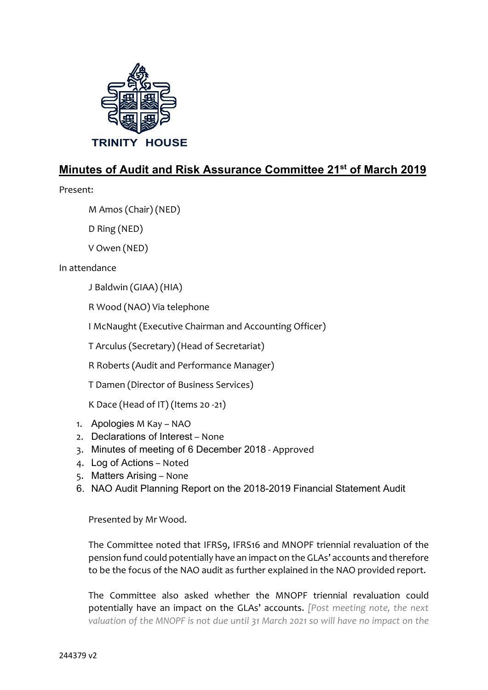

# **Minutes of Audit and Risk Assurance Committee 21st of March 2019**

Present:

M Amos (Chair) (NED)

D Ring (NED)

V Owen (NED)

In attendance

J Baldwin (GIAA) (HIA)

R Wood (NAO) Via telephone

I McNaught (Executive Chairman and Accounting Officer)

T Arculus (Secretary) (Head of Secretariat)

R Roberts (Audit and Performance Manager)

T Damen (Director of Business Services)

K Dace (Head of IT) (Items 20 -21)

- 1. Apologies M Kay NAO
- 2. Declarations of Interest None
- 3. Minutes of meeting of 6 December 2018 Approved
- 4. Log of Actions Noted
- 5. Matters Arising None
- 6. NAO Audit Planning Report on the 2018-2019 Financial Statement Audit

Presented by Mr Wood.

The Committee noted that IFRS9, IFRS16 and MNOPF triennial revaluation of the pension fund could potentially have an impact on the GLAs' accounts and therefore to be the focus of the NAO audit as further explained in the NAO provided report.

The Committee also asked whether the MNOPF triennial revaluation could potentially have an impact on the GLAs' accounts. *[Post meeting note, the next valuation of the MNOPF is not due until 31 March 2021 so will have no impact on the*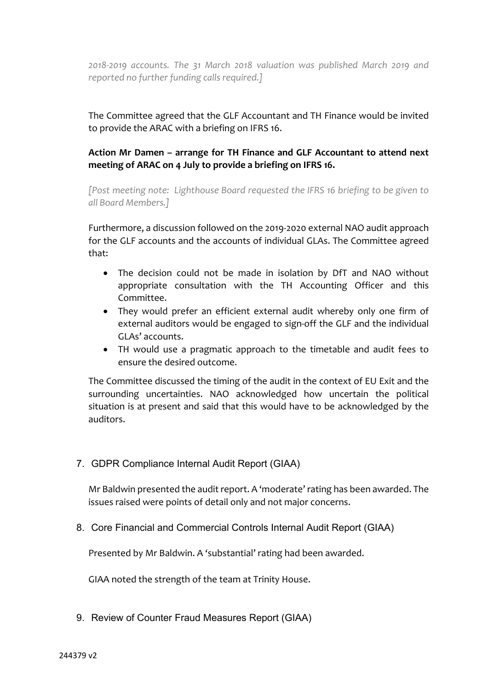*2018-2019 accounts. The 31 March 2018 valuation was published March 2019 and reported no further funding calls required.]*

The Committee agreed that the GLF Accountant and TH Finance would be invited to provide the ARAC with a briefing on IFRS 16.

# **Action Mr Damen – arrange for TH Finance and GLF Accountant to attend next meeting of ARAC on 4 July to provide a briefing on IFRS 16.**

*[Post meeting note: Lighthouse Board requested the IFRS 16 briefing to be given to all Board Members.]*

Furthermore, a discussion followed on the 2019-2020 external NAO audit approach for the GLF accounts and the accounts of individual GLAs. The Committee agreed that:

- The decision could not be made in isolation by DfT and NAO without appropriate consultation with the TH Accounting Officer and this Committee.
- They would prefer an efficient external audit whereby only one firm of external auditors would be engaged to sign-off the GLF and the individual GLAs' accounts.
- TH would use a pragmatic approach to the timetable and audit fees to ensure the desired outcome.

The Committee discussed the timing of the audit in the context of EU Exit and the surrounding uncertainties. NAO acknowledged how uncertain the political situation is at present and said that this would have to be acknowledged by the auditors.

7. GDPR Compliance Internal Audit Report (GIAA)

Mr Baldwin presented the audit report. A 'moderate' rating has been awarded. The issues raised were points of detail only and not major concerns.

8. Core Financial and Commercial Controls Internal Audit Report (GIAA)

Presented by Mr Baldwin. A 'substantial' rating had been awarded.

GIAA noted the strength of the team at Trinity House.

9. Review of Counter Fraud Measures Report (GIAA)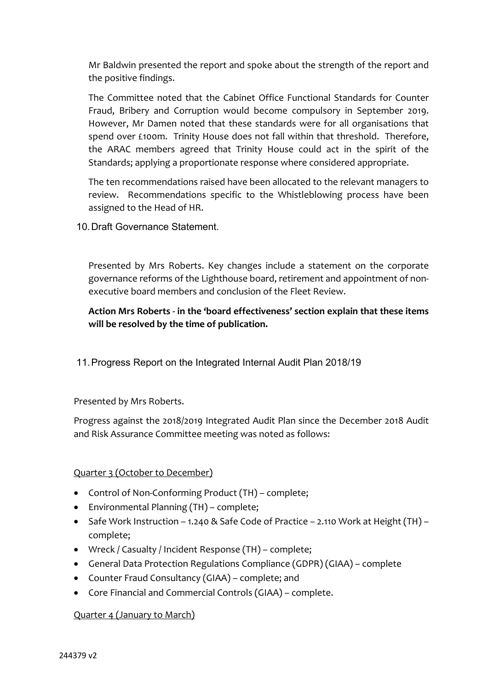Mr Baldwin presented the report and spoke about the strength of the report and the positive findings.

The Committee noted that the Cabinet Office Functional Standards for Counter Fraud, Bribery and Corruption would become compulsory in September 2019. However, Mr Damen noted that these standards were for all organisations that spend over £100m. Trinity House does not fall within that threshold. Therefore, the ARAC members agreed that Trinity House could act in the spirit of the Standards; applying a proportionate response where considered appropriate.

The ten recommendations raised have been allocated to the relevant managers to review. Recommendations specific to the Whistleblowing process have been assigned to the Head of HR.

10.Draft Governance Statement.

Presented by Mrs Roberts. Key changes include a statement on the corporate governance reforms of the Lighthouse board, retirement and appointment of nonexecutive board members and conclusion of the Fleet Review.

**Action Mrs Roberts - in the 'board effectiveness' section explain that these items will be resolved by the time of publication.**

11.Progress Report on the Integrated Internal Audit Plan 2018/19

Presented by Mrs Roberts.

Progress against the 2018/2019 Integrated Audit Plan since the December 2018 Audit and Risk Assurance Committee meeting was noted as follows:

# Quarter 3 (October to December)

- Control of Non-Conforming Product (TH) complete;
- Environmental Planning (TH) complete;
- Safe Work Instruction 1.240 & Safe Code of Practice 2.110 Work at Height (TH) complete;
- Wreck / Casualty / Incident Response (TH) complete;
- General Data Protection Regulations Compliance (GDPR) (GIAA) complete
- Counter Fraud Consultancy (GIAA) complete; and
- Core Financial and Commercial Controls (GIAA) complete.

# Quarter 4 (January to March)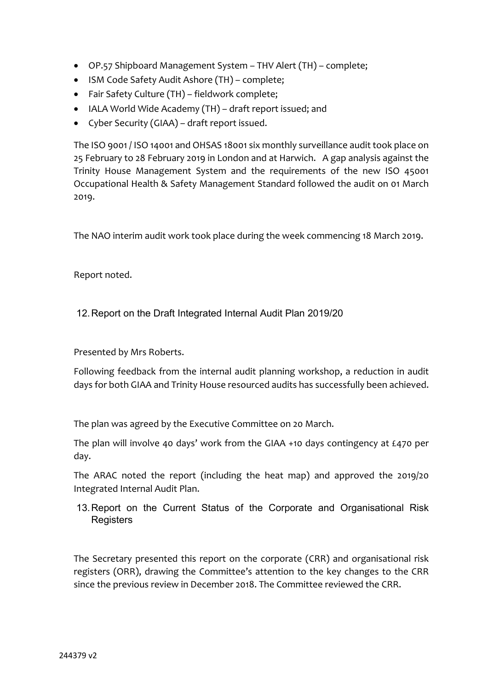- OP.57 Shipboard Management System THV Alert (TH) complete;
- ISM Code Safety Audit Ashore (TH) complete;
- Fair Safety Culture (TH) fieldwork complete;
- IALA World Wide Academy (TH) draft report issued; and
- Cyber Security (GIAA) draft report issued.

The ISO 9001 / ISO 14001 and OHSAS 18001 six monthly surveillance audit took place on 25 February to 28 February 2019 in London and at Harwich. A gap analysis against the Trinity House Management System and the requirements of the new ISO 45001 Occupational Health & Safety Management Standard followed the audit on 01 March 2019.

The NAO interim audit work took place during the week commencing 18 March 2019.

Report noted.

## 12.Report on the Draft Integrated Internal Audit Plan 2019/20

Presented by Mrs Roberts.

Following feedback from the internal audit planning workshop, a reduction in audit days for both GIAA and Trinity House resourced audits has successfully been achieved.

The plan was agreed by the Executive Committee on 20 March.

The plan will involve 40 days' work from the GIAA +10 days contingency at £470 per day.

The ARAC noted the report (including the heat map) and approved the 2019/20 Integrated Internal Audit Plan.

13.Report on the Current Status of the Corporate and Organisational Risk **Registers** 

The Secretary presented this report on the corporate (CRR) and organisational risk registers (ORR), drawing the Committee's attention to the key changes to the CRR since the previous review in December 2018. The Committee reviewed the CRR.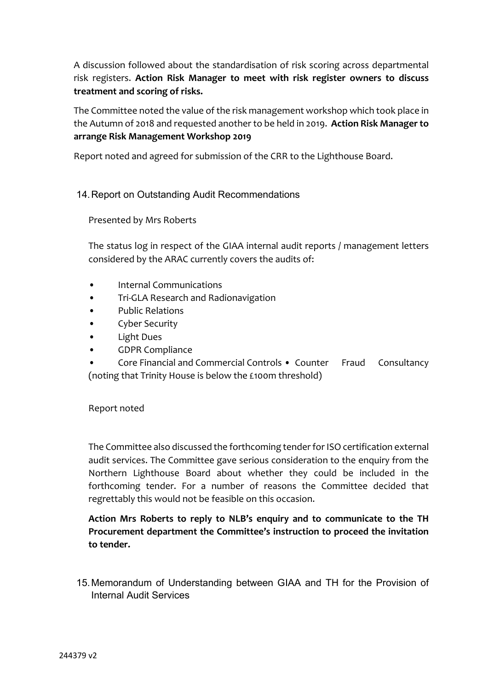A discussion followed about the standardisation of risk scoring across departmental risk registers. **Action Risk Manager to meet with risk register owners to discuss treatment and scoring of risks.**

The Committee noted the value of the risk management workshop which took place in the Autumn of 2018 and requested another to be held in 2019. **Action Risk Manager to arrange Risk Management Workshop 2019**

Report noted and agreed for submission of the CRR to the Lighthouse Board.

# 14.Report on Outstanding Audit Recommendations

Presented by Mrs Roberts

The status log in respect of the GIAA internal audit reports / management letters considered by the ARAC currently covers the audits of:

- Internal Communications
- Tri-GLA Research and Radionavigation
- Public Relations
- Cyber Security
- Light Dues
- GDPR Compliance
- Core Financial and Commercial Controls Counter Fraud Consultancy (noting that Trinity House is below the £100m threshold)

### Report noted

The Committee also discussed the forthcoming tender for ISO certification external audit services. The Committee gave serious consideration to the enquiry from the Northern Lighthouse Board about whether they could be included in the forthcoming tender. For a number of reasons the Committee decided that regrettably this would not be feasible on this occasion.

**Action Mrs Roberts to reply to NLB's enquiry and to communicate to the TH Procurement department the Committee's instruction to proceed the invitation to tender.**

15.Memorandum of Understanding between GIAA and TH for the Provision of Internal Audit Services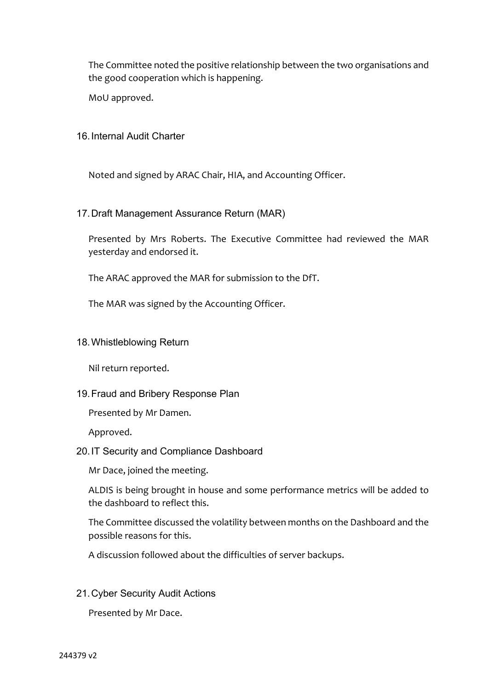The Committee noted the positive relationship between the two organisations and the good cooperation which is happening.

MoU approved.

#### 16.Internal Audit Charter

Noted and signed by ARAC Chair, HIA, and Accounting Officer.

### 17.Draft Management Assurance Return (MAR)

Presented by Mrs Roberts. The Executive Committee had reviewed the MAR yesterday and endorsed it.

The ARAC approved the MAR for submission to the DfT.

The MAR was signed by the Accounting Officer.

#### 18.Whistleblowing Return

Nil return reported.

### 19.Fraud and Bribery Response Plan

Presented by Mr Damen.

Approved.

### 20.IT Security and Compliance Dashboard

Mr Dace, joined the meeting.

ALDIS is being brought in house and some performance metrics will be added to the dashboard to reflect this.

The Committee discussed the volatility between months on the Dashboard and the possible reasons for this.

A discussion followed about the difficulties of server backups.

### 21.Cyber Security Audit Actions

Presented by Mr Dace.